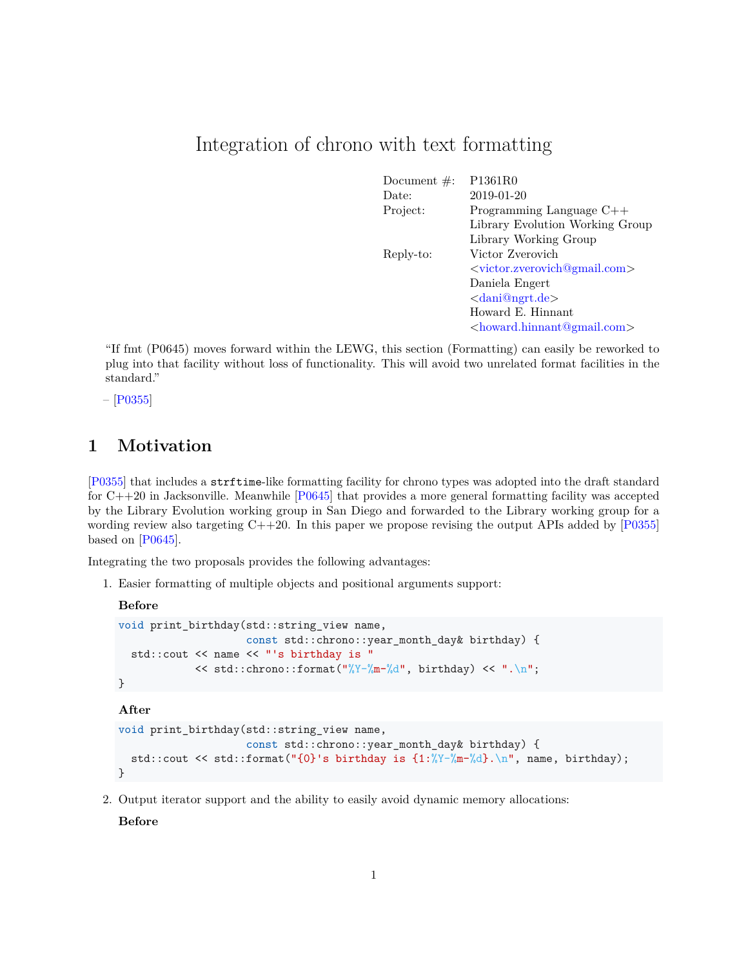# Integration of chrono with text formatting

| Document $\#$ : | P1361R0                               |
|-----------------|---------------------------------------|
| Date:           | 2019-01-20                            |
| Project:        | Programming Language $C++$            |
|                 | Library Evolution Working Group       |
|                 | Library Working Group                 |
| Reply-to:       | Victor Zverovich                      |
|                 | $\langle$ victor.zverovich@gmail.com> |
|                 | Daniela Engert                        |
|                 | $\langle dani@ngrt.de \rangle$        |
|                 | Howard E. Hinnant                     |
|                 | $\langle$ howard.hinnant@gmail.com>   |

"If fmt (P0645) moves forward within the LEWG, this section (Formatting) can easily be reworked to plug into that facility without loss of functionality. This will avoid two unrelated format facilities in the standard."

 $-$  [\[P0355\]](#page-18-0)

# **1 Motivation**

[\[P0355\]](#page-18-0) that includes a strftime-like formatting facility for chrono types was adopted into the draft standard for C++20 in Jacksonville. Meanwhile [\[P0645\]](#page-18-1) that provides a more general formatting facility was accepted by the Library Evolution working group in San Diego and forwarded to the Library working group for a wording review also targeting  $C++20$ . In this paper we propose revising the output APIs added by  $[P0355]$ based on [\[P0645\]](#page-18-1).

Integrating the two proposals provides the following advantages:

1. Easier formatting of multiple objects and positional arguments support:

```
Before
```

```
void print_birthday(std::string_view name,
                    const std::chrono::year month day& birthday) {
  std::cout << name << "'s birthday is "
            << std::chrono::format("%Y-%m-%d", birthday) << ".\n";
}
```
**After**

```
void print_birthday(std::string_view name,
                    const std::chrono::year_month_day& birthday) {
  std::cout << std::format("{0}'s birthday is {1:%Y-%m-%d}.\n", name, birthday);
}
```
2. Output iterator support and the ability to easily avoid dynamic memory allocations:

**Before**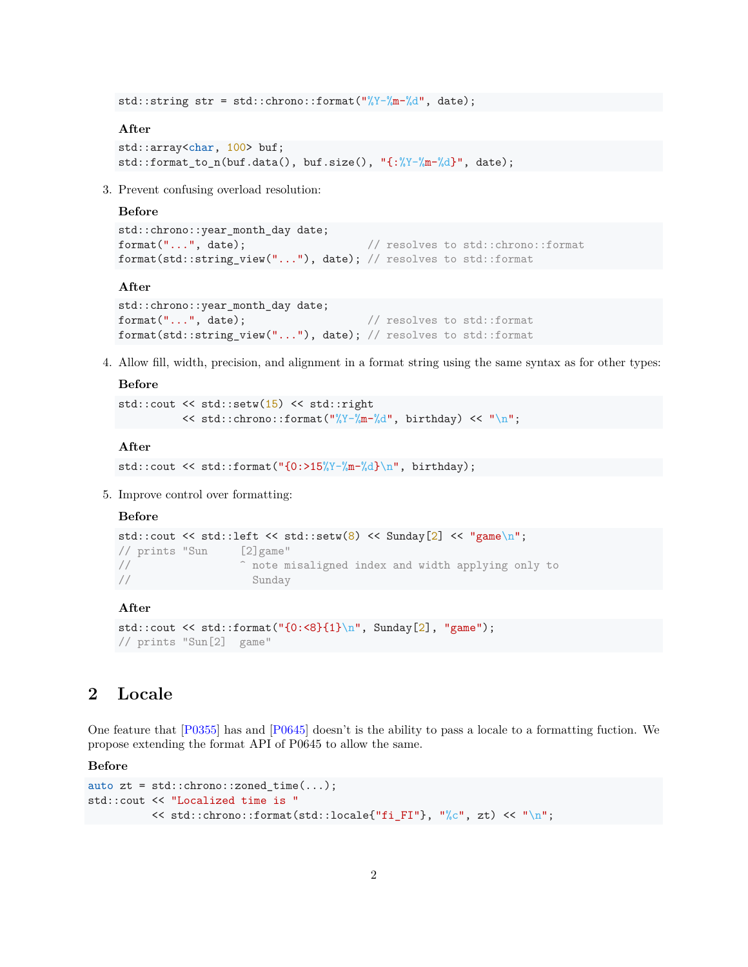std::string str = std::chrono::format("%Y-%m-%d", date);

#### **After**

```
std::array<char, 100> buf;
std::format_to_n(buf.data(), buf.size(), "{:%Y-%m-%d}", date);
```
3. Prevent confusing overload resolution:

#### **Before**

```
std::chrono::year_month_day date;
format("...", date); // resolves to std::chrono::format
format(std::string_view("..."), date); // resolves to std::format
```
#### **After**

```
std::chrono::year_month_day date;
format("...", date); \qquad \qquad \qquad // resolves to std::format
format(std::string_view("..."), date); // resolves to std::format
```
4. Allow fill, width, precision, and alignment in a format string using the same syntax as for other types:

### **Before**

```
std::cout << std::setw(15) << std::right
          << std::chrono::format("%Y-%m-%d", birthday) << "\n";
```
#### **After**

```
std::cout << std::format("{0:>15\%Y-\frac{\{0:\}N-\{0:\}N}{n}}, birthday);
```
5. Improve control over formatting:

#### **Before**

```
std::cout << std::left << std::setw(8) << Sunday[2] << "game\n";
// prints "Sun [2]game"
// ^ note misaligned index and width applying only to
// Sunday
```
#### **After**

```
std::cout << std::format("{0: <8}{1}\n", Sunday[2], "game");
// prints "Sun[2] game"
```
# **2 Locale**

One feature that [\[P0355\]](#page-18-0) has and [\[P0645\]](#page-18-1) doesn't is the ability to pass a locale to a formatting fuction. We propose extending the format API of P0645 to allow the same.

#### **Before**

```
auto zt = std::chrono::zoned_time(...);std::cout << "Localized time is "
          \le std::chrono::format(std::locale{"fi_FI"}, "%c", zt) \le "\n";
```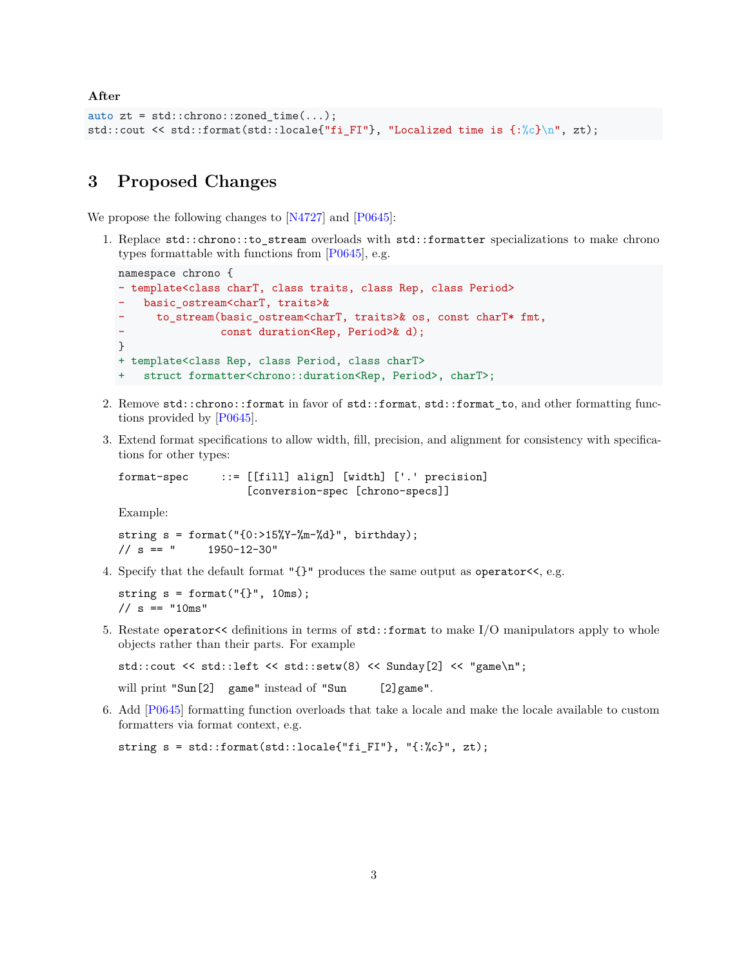**After**

```
auto zt = std::chrono::zonedtime(...);std::cout << std::format(std::locale{"fi_FI"}, "Localized time is {:%c}\n", zt);
```
### **3 Proposed Changes**

We propose the following changes to [\[N4727\]](#page-18-2) and [\[P0645\]](#page-18-1):

1. Replace std::chrono::to\_stream overloads with std::formatter specializations to make chrono types formattable with functions from [\[P0645\]](#page-18-1), e.g.

```
namespace chrono {
- template<class charT, class traits, class Rep, class Period>
    basic_ostream<charT, traits>&
      - to_stream(basic_ostream<charT, traits>& os, const charT* fmt,
                const duration<Rep, Period>& d);
}
+ template<class Rep, class Period, class charT>
+ struct formatter<chrono::duration<Rep, Period>, charT>;
```
- 2. Remove std::chrono::format in favor of std::format, std::format\_to, and other formatting functions provided by [\[P0645\]](#page-18-1).
- 3. Extend format specifications to allow width, fill, precision, and alignment for consistency with specifications for other types:

format-spec ::= [[fill] align] [width] ['.' precision] [conversion-spec [chrono-specs]]

Example:

string  $s = f \text{ormat}("{0:}>15\%Y-\text{mm-kd}", \text{birthday});$  $// s == " 1950-12-30"$ 

4. Specify that the default format "{}" produces the same output as operator<<, e.g.

```
string s = format("{}', 10ms);
// s == "10ms"
```
5. Restate operator<< definitions in terms of std::format to make I/O manipulators apply to whole objects rather than their parts. For example

```
std::cout << std::left << std::setw(8) << Sunday[2] << "game\n";
```
will print "Sun[2] game" instead of "Sun [2] game".

6. Add [\[P0645\]](#page-18-1) formatting function overloads that take a locale and make the locale available to custom formatters via format context, e.g.

```
string s = std::format(std::locale{"fi_FI"}, "{:%c}", zt);
```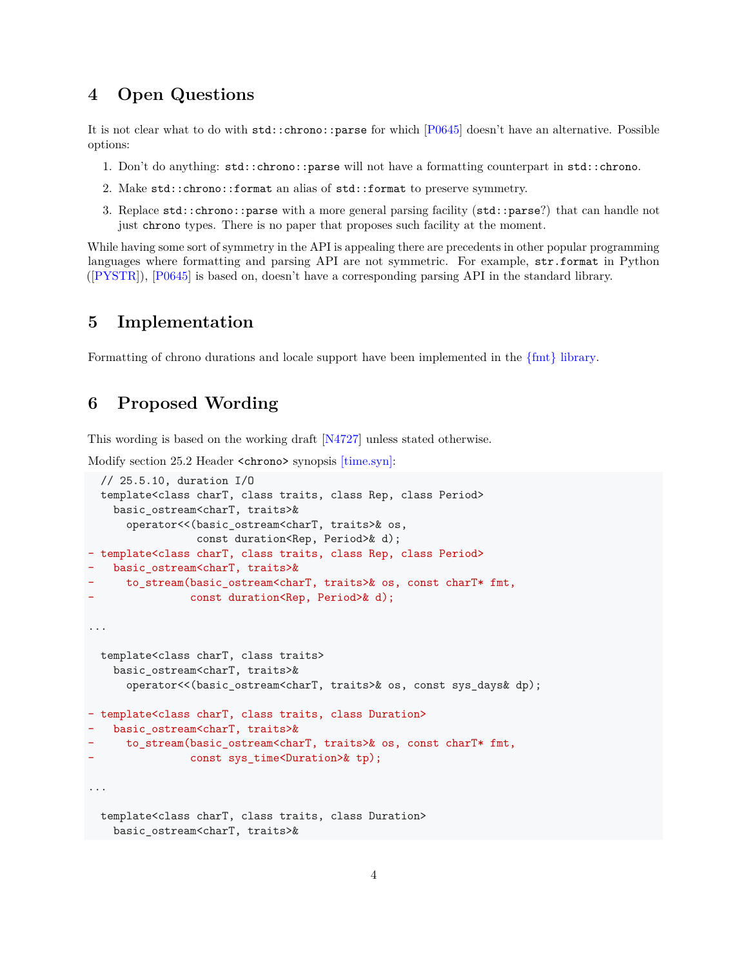# **4 Open Questions**

It is not clear what to do with std::chrono::parse for which [\[P0645\]](#page-18-1) doesn't have an alternative. Possible options:

- 1. Don't do anything: std::chrono::parse will not have a formatting counterpart in std::chrono.
- 2. Make std::chrono::format an alias of std::format to preserve symmetry.
- 3. Replace std::chrono::parse with a more general parsing facility (std::parse?) that can handle not just chrono types. There is no paper that proposes such facility at the moment.

While having some sort of symmetry in the API is appealing there are precedents in other popular programming languages where formatting and parsing API are not symmetric. For example, str.format in Python ([\[PYSTR\]](#page-18-3)), [\[P0645\]](#page-18-1) is based on, doesn't have a corresponding parsing API in the standard library.

### **5 Implementation**

Formatting of chrono durations and locale support have been implemented in the  $\{\text{fmt}\}\$ library.

### **6 Proposed Wording**

This wording is based on the working draft [\[N4727\]](#page-18-2) unless stated otherwise.

Modify section 25.2 Header <chrono> synopsis  $[\text{time,syn}]\$ :

```
// 25.5.10, duration I/O
  template<class charT, class traits, class Rep, class Period>
   basic_ostream<charT, traits>&
      operator<<(basic_ostream<charT, traits>& os,
                 const duration<Rep, Period>& d);
- template<class charT, class traits, class Rep, class Period>
   basic_ostream<charT, traits>&
      - to_stream(basic_ostream<charT, traits>& os, const charT* fmt,
                const duration<Rep, Period>& d);
...
 template<class charT, class traits>
   basic_ostream<charT, traits>&
      operator<<(basic_ostream<charT, traits>& os, const sys_days& dp);
- template<class charT, class traits, class Duration>
   basic_ostream<charT, traits>&
      - to_stream(basic_ostream<charT, traits>& os, const charT* fmt,
                const sys_time<Duration>& tp);
...
  template<class charT, class traits, class Duration>
   basic_ostream<charT, traits>&
```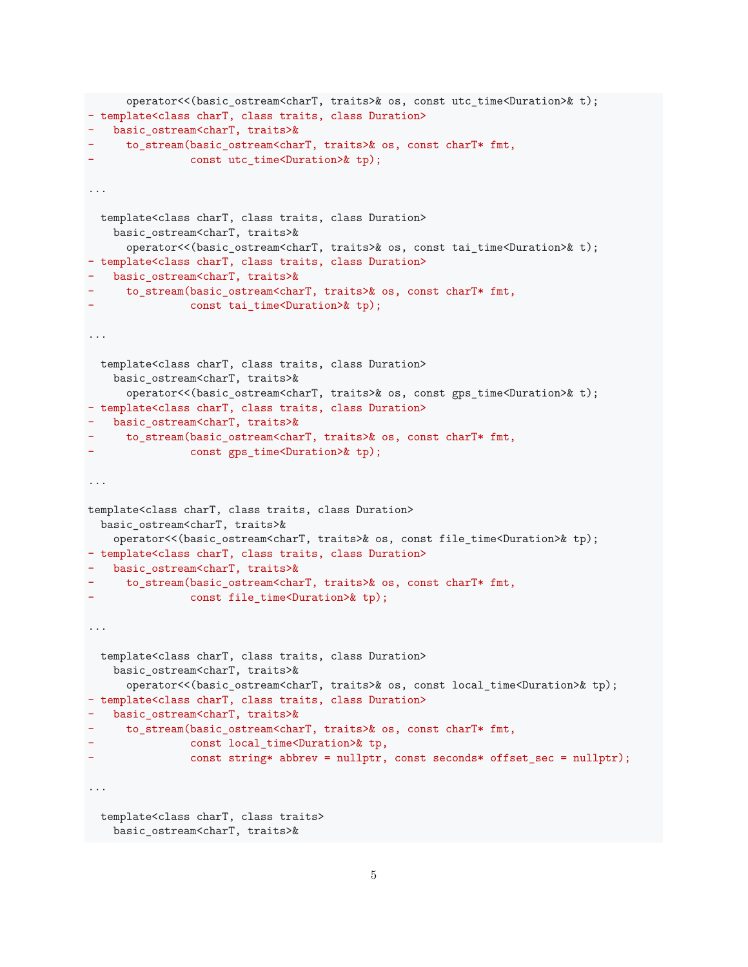```
operator<<(basic_ostream<charT, traits>& os, const utc_time<Duration>& t);
- template<class charT, class traits, class Duration>
- basic_ostream<charT, traits>&
- to stream(basic ostream<charT, traits>& os, const charT* fmt,
                const utc_time<Duration>& tp);
...
  template<class charT, class traits, class Duration>
    basic_ostream<charT, traits>&
      operator<<(basic_ostream<charT, traits>& os, const tai_time<Duration>& t);
- template<class charT, class traits, class Duration>
  basic ostream<charT, traits>&
- to_stream(basic_ostream<charT, traits>& os, const charT* fmt,
               - const tai_time<Duration>& tp);
...
  template<class charT, class traits, class Duration>
    basic_ostream<charT, traits>&
      operator<<(basic_ostream<charT, traits>& os, const gps_time<Duration>& t);
- template<class charT, class traits, class Duration>
  - basic_ostream<charT, traits>&
    - to_stream(basic_ostream<charT, traits>& os, const charT* fmt,
               const gps time<Duration>& tp);
...
template<class charT, class traits, class Duration>
 basic_ostream<charT, traits>&
    operator<<(basic_ostream<charT, traits>& os, const file_time<Duration>& tp);
- template<class charT, class traits, class Duration>
- basic_ostream<charT, traits>&
    - to_stream(basic_ostream<charT, traits>& os, const charT* fmt,
                const file_time<Duration>& tp);
...
  template<class charT, class traits, class Duration>
    basic_ostream<charT, traits>&
      operator<<(basic_ostream<charT, traits>& os, const local_time<Duration>& tp);
- template<class charT, class traits, class Duration>
  - basic_ostream<charT, traits>&
     - to_stream(basic_ostream<charT, traits>& os, const charT* fmt,
                const local_time<Duration>& tp,
                - const string* abbrev = nullptr, const seconds* offset_sec = nullptr);
...
 template<class charT, class traits>
   basic_ostream<charT, traits>&
```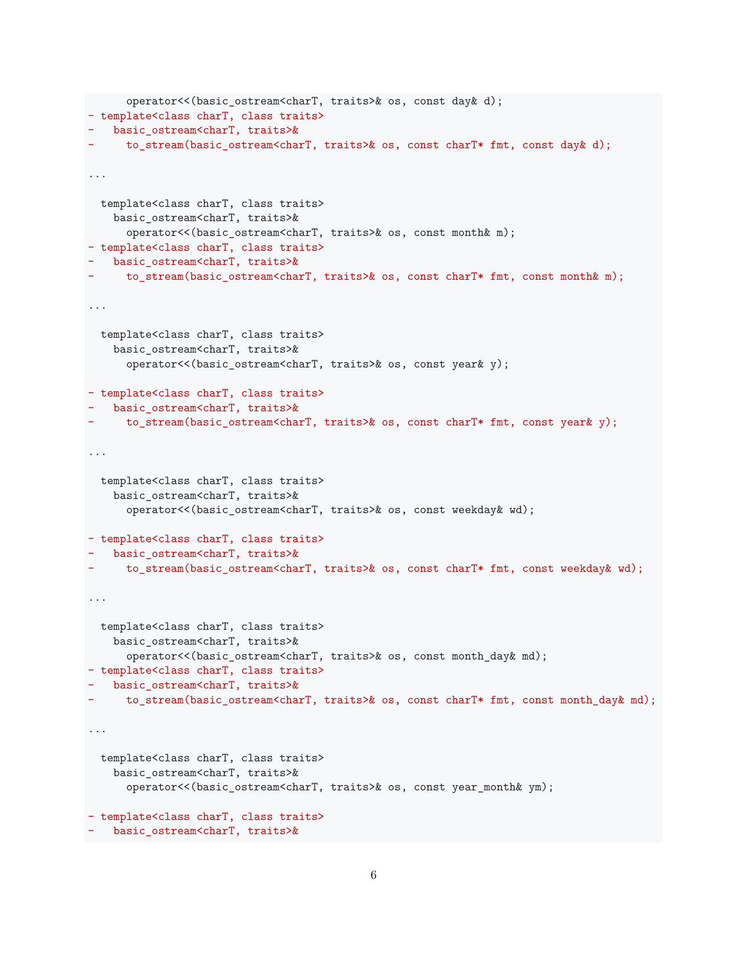```
operator<<(basic_ostream<charT, traits>& os, const day& d);
- template<class charT, class traits>
- basic_ostream<charT, traits>&
- to_stream(basic_ostream<charT, traits>& os, const charT* fmt, const day& d);
...
 template<class charT, class traits>
   basic_ostream<charT, traits>&
      operator<<(basic_ostream<charT, traits>& os, const month& m);
- template<class charT, class traits>
- basic_ostream<charT, traits>&
    - to_stream(basic_ostream<charT, traits>& os, const charT* fmt, const month& m);
...
 template<class charT, class traits>
    basic_ostream<charT, traits>&
      operator<<(basic_ostream<charT, traits>& os, const year& y);
- template<class charT, class traits>
- basic_ostream<charT, traits>&
    - to_stream(basic_ostream<charT, traits>& os, const charT* fmt, const year& y);
...
 template<class charT, class traits>
    basic_ostream<charT, traits>&
      operator<<(basic_ostream<charT, traits>& os, const weekday& wd);
- template<class charT, class traits>
  basic_ostream<charT, traits>&
    - to_stream(basic_ostream<charT, traits>& os, const charT* fmt, const weekday& wd);
...
 template<class charT, class traits>
    basic_ostream<charT, traits>&
     operator<<(basic_ostream<charT, traits>& os, const month_day& md);
- template<class charT, class traits>
- basic_ostream<charT, traits>&
    - to_stream(basic_ostream<charT, traits>& os, const charT* fmt, const month_day& md);
...
 template<class charT, class traits>
    basic_ostream<charT, traits>&
      operator<<(basic_ostream<charT, traits>& os, const year_month& ym);
- template<class charT, class traits>
- basic_ostream<charT, traits>&
```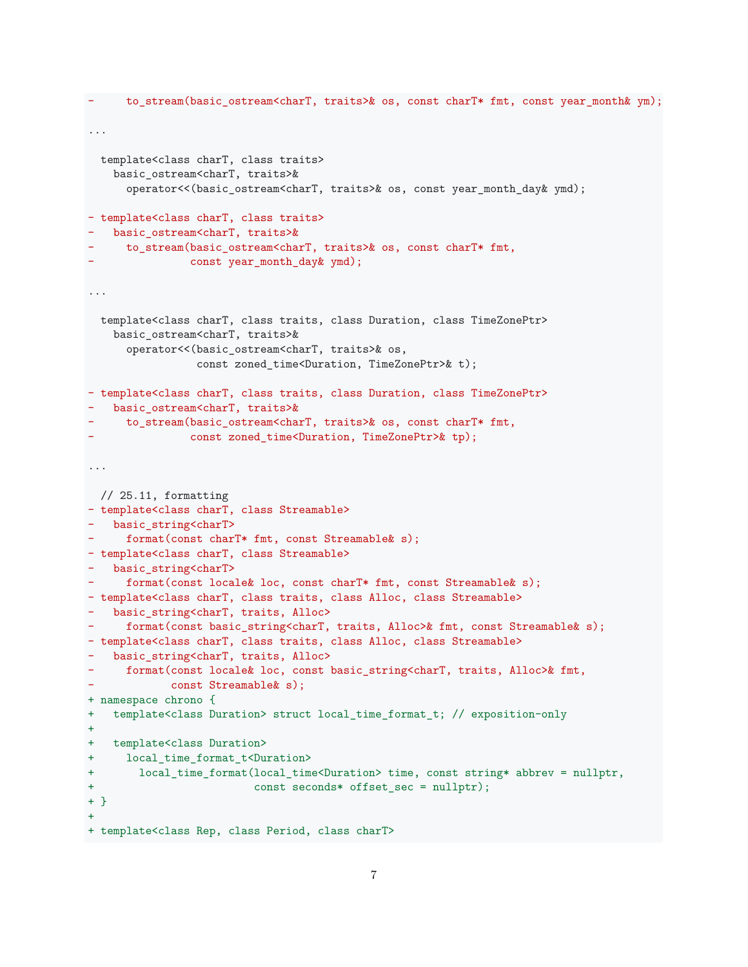```
to_stream(basic_ostream<charT, traits>& os, const charT* fmt, const year_month& ym);
...
 template<class charT, class traits>
   basic_ostream<charT, traits>&
      operator<<(basic_ostream<charT, traits>& os, const year_month_day& ymd);
- template<class charT, class traits>
  - basic_ostream<charT, traits>&
- to_stream(basic_ostream<charT, traits>& os, const charT* fmt,
               - const year_month_day& ymd);
...
 template<class charT, class traits, class Duration, class TimeZonePtr>
   basic_ostream<charT, traits>&
      operator<<(basic_ostream<charT, traits>& os,
                const zoned_time<Duration, TimeZonePtr>& t);
- template<class charT, class traits, class Duration, class TimeZonePtr>
- basic_ostream<charT, traits>&
- to_stream(basic_ostream<charT, traits>& os, const charT* fmt,
               const zoned_time<Duration, TimeZonePtr>& tp);
...
 // 25.11, formatting
- template<class charT, class Streamable>
- basic_string<charT>
    format(const charT* fmt, const Streamable& s);
- template<class charT, class Streamable>
- basic_string<charT>
     format(const locale& loc, const charT* fmt, const Streamable& s);
- template<class charT, class traits, class Alloc, class Streamable>
  basic_string<charT, traits, Alloc>
     format(const basic_string<charT, traits, Alloc>& fmt, const Streamable& s);
- template<class charT, class traits, class Alloc, class Streamable>
  basic_string<charT, traits, Alloc>
- format(const locale& loc, const basic_string<charT, traits, Alloc>& fmt,
            const Streamable & s);
+ namespace chrono {
+ template<class Duration> struct local_time_format_t; // exposition-only
+
+ template<class Duration>
+ local_time_format_t<Duration>
+ local_time_format(local_time<Duration> time, const string* abbrev = nullptr,
+ const seconds* offset_sec = nullptr);
+ }
+
+ template<class Rep, class Period, class charT>
```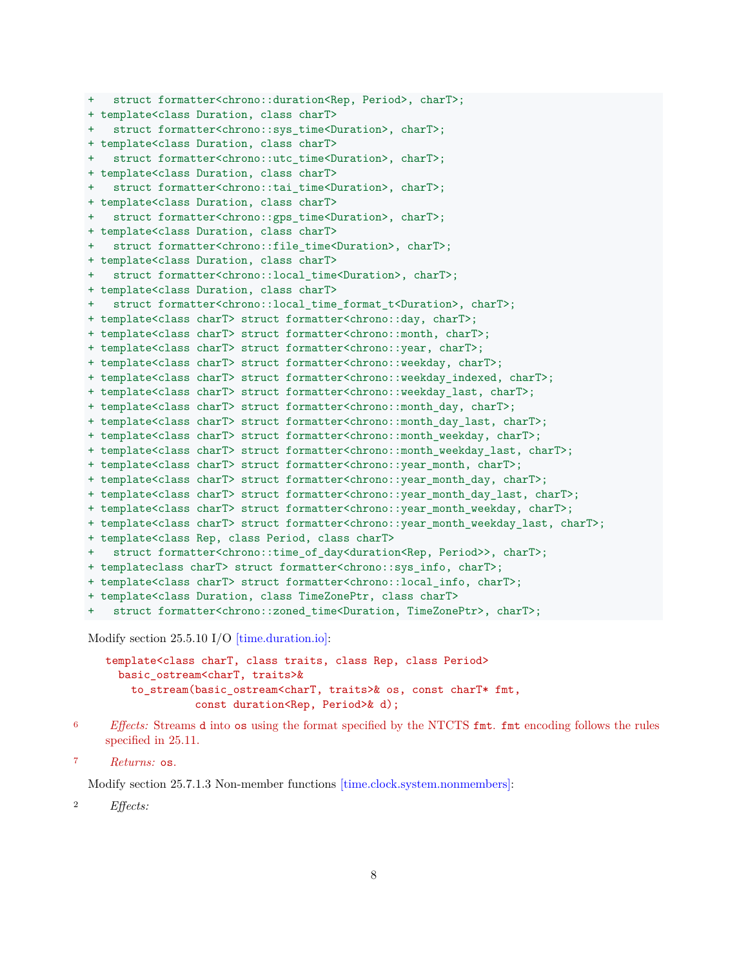```
+ struct formatter<chrono::duration<Rep, Period>, charT>;
+ template<class Duration, class charT>
+ struct formatter<chrono::sys time<Duration>, charT>;
+ template<class Duration, class charT>
+ struct formatter<chrono::utc_time<Duration>, charT>;
+ template<class Duration, class charT>
+ struct formatter<chrono::tai_time<Duration>, charT>;
+ template<class Duration, class charT>
  struct formatter<chrono::gps_time<Duration>, charT>;
+ template<class Duration, class charT>
+ struct formatter<chrono::file_time<Duration>, charT>;
+ template<class Duration, class charT>
  struct formatter<chrono::local_time<Duration>, charT>;
+ template<class Duration, class charT>
+ struct formatter<chrono::local_time_format_t<Duration>, charT>;
+ template<class charT> struct formatter<chrono::day, charT>;
+ template<class charT> struct formatter<chrono::month, charT>;
+ template<class charT> struct formatter<chrono::year, charT>;
+ template<class charT> struct formatter<chrono::weekday, charT>;
+ template<class charT> struct formatter<chrono::weekday_indexed, charT>;
+ template<class charT> struct formatter<chrono::weekday_last, charT>;
+ template<class charT> struct formatter<chrono::month_day, charT>;
+ template<class charT> struct formatter<chrono::month_day_last, charT>;
+ template<class charT> struct formatter<chrono::month_weekday, charT>;
+ template<class charT> struct formatter<chrono::month_weekday_last, charT>;
+ template<class charT> struct formatter<chrono::year_month, charT>;
+ template<class charT> struct formatter<chrono::year_month_day, charT>;
+ template<class charT> struct formatter<chrono::year_month_day_last, charT>;
+ template<class charT> struct formatter<chrono::year_month_weekday, charT>;
+ template<class charT> struct formatter<chrono::year_month_weekday_last, charT>;
+ template<class Rep, class Period, class charT>
  struct formatter<chrono::time_of_day<duration<Rep, Period>>, charT>;
+ templateclass charT> struct formatter<chrono::sys_info, charT>;
+ template<class charT> struct formatter<chrono::local_info, charT>;
+ template<class Duration, class TimeZonePtr, class charT>
    + struct formatter<chrono::zoned_time<Duration, TimeZonePtr>, charT>;
```
Modify section 25.5.10 I/O [\[time.duration.io\]:](http://www.open-std.org/jtc1/sc22/wg21/docs/papers/2018/n4778.pdf#subsection.25.5.10)

```
template<class charT, class traits, class Rep, class Period>
  basic_ostream<charT, traits>&
    to_stream(basic_ostream<charT, traits>& os, const charT* fmt,
              const duration<Rep, Period>& d);
```
<sup>6</sup> *Effects:* Streams d into os using the format specified by the NTCTS fmt. fmt encoding follows the rules specified in 25.11.

```
7 Returns: os.
```
Modify section 25.7.1.3 Non-member functions [\[time.clock.system.nonmembers\]:](http://www.open-std.org/jtc1/sc22/wg21/docs/papers/2018/n4778.pdf#subsubsection.25.7.1.3)

<sup>2</sup> *Effects:*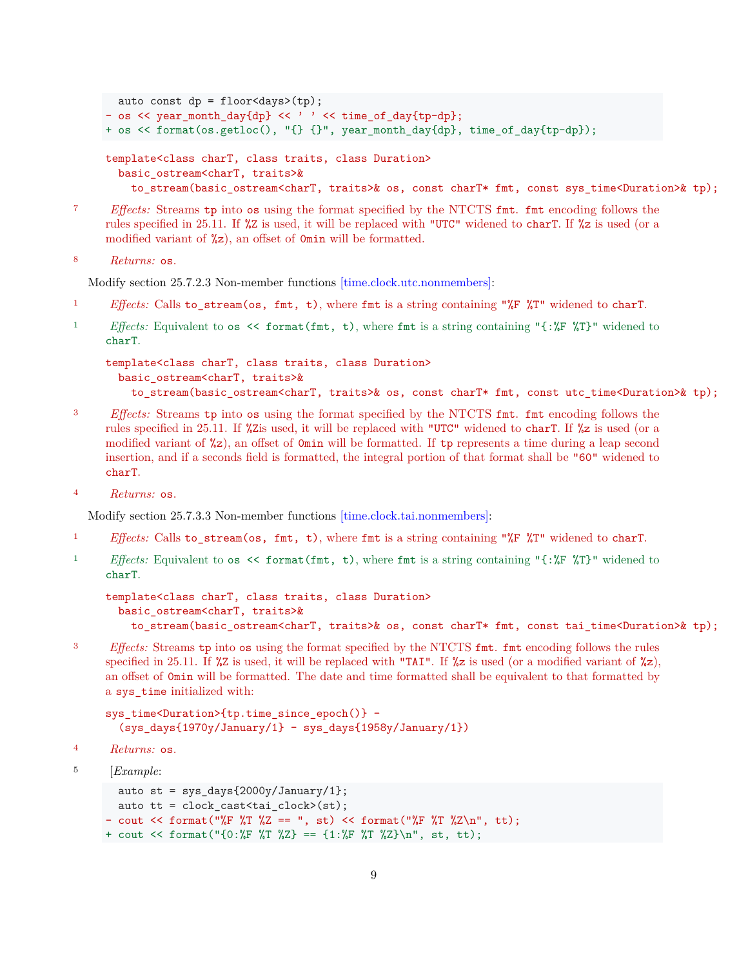```
auto const dp = floor<days>(tp);
- os << year_month_day{dp} << ' ' << time_of_day{tp-dp};
+ os << format(os.getloc(), "{} {}", year_month_day{dp}, time_of_day{tp-dp});
template<class charT, class traits, class Duration>
  basic_ostream<charT, traits>&
    to_stream(basic_ostream<charT, traits>& os, const charT* fmt, const sys_time<Duration>& tp);
```
<sup>7</sup> *Effects:* Streams tp into os using the format specified by the NTCTS fmt. fmt encoding follows the rules specified in 25.11. If %Z is used, it will be replaced with "UTC" widened to charT. If %z is used (or a modified variant of  $\frac{1}{2}$ , an offset of **Omin** will be formatted.

```
8 Returns: os.
```
Modify section 25.7.2.3 Non-member functions  $[\text{time clock.}$ utc.nonmembers $]$ :

- <sup>1</sup> *Effects:* Calls to\_stream(os, fmt, t), where fmt is a string containing "%F %T" widened to charT.
- <sup>1</sup> *Effects:* Equivalent to os << format(fmt, t), where fmt is a string containing "{:%F %T}" widened to charT.

```
template<class charT, class traits, class Duration>
  basic_ostream<charT, traits>&
    to_stream(basic_ostream<charT, traits>& os, const charT* fmt, const utc_time<Duration>& tp);
```
- <sup>3</sup> *Effects:* Streams tp into os using the format specified by the NTCTS fmt. fmt encoding follows the rules specified in 25.11. If %Zis used, it will be replaced with "UTC" widened to charT. If %z is used (or a modified variant of  $\mathscr{Z}_2$ , an offset of 0min will be formatted. If tp represents a time during a leap second insertion, and if a seconds field is formatted, the integral portion of that format shall be "60" widened to charT.
- <sup>4</sup> *Returns:* os.

Modify section 25.7.3.3 Non-member functions [\[time.clock.tai.nonmembers\]:](http://www.open-std.org/jtc1/sc22/wg21/docs/papers/2018/n4778.pdf#subsubsection.25.7.3.3)

- <sup>1</sup> *Effects:* Calls to\_stream(os, fmt, t), where fmt is a string containing "%F %T" widened to charT.
- <sup>1</sup> *Effects:* Equivalent to os << format(fmt, t), where fmt is a string containing "{:%F %T}" widened to charT.

```
template<class charT, class traits, class Duration>
 basic_ostream<charT, traits>&
   to_stream(basic_ostream<charT, traits>& os, const charT* fmt, const tai_time<Duration>& tp);
```
<sup>3</sup> *Effects:* Streams tp into os using the format specified by the NTCTS fmt. fmt encoding follows the rules specified in 25.11. If  $\chi$ z is used, it will be replaced with "TAI". If  $\chi$ z is used (or a modified variant of  $\chi$ z), an offset of 0min will be formatted. The date and time formatted shall be equivalent to that formatted by a sys\_time initialized with:

```
sys_time<Duration>{tp.time_since_epoch()} -
  (sys_days{1970y/January/1} - sys_days{1958y/January/1})
```

```
4 Returns: os.
```
<sup>5</sup> [*Example*:

```
auto st = sys\_days{2000y/January/1};auto tt = clock_cast<tai_clock>(st);
- cout \leq format("%F %T %Z == ", st) \leq format("%F %T %Z\n", tt);
+ cout << format("{0:%F %T %Z} == {1:%F %T %Z}\n", st, tt);
```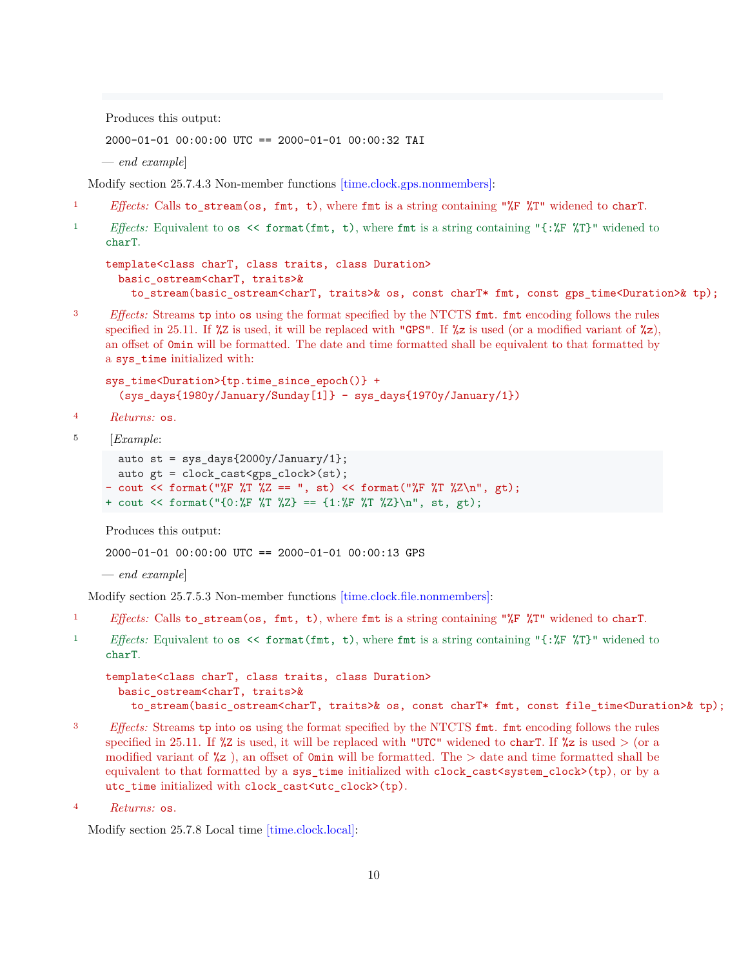Produces this output:

2000-01-01 00:00:00 UTC == 2000-01-01 00:00:32 TAI

— *end example*]

Modify section 25.7.4.3 Non-member functions [\[time.clock.gps.nonmembers\]:](http://www.open-std.org/jtc1/sc22/wg21/docs/papers/2018/n4778.pdf#subsubsection.25.7.4.3)

- <sup>1</sup> *Effects:* Calls to stream(os, fmt, t), where fmt is a string containing " $*$ F  $*$ T" widened to charT.
- <sup>1</sup> *Effects:* Equivalent to os << format(fmt, t), where fmt is a string containing "{:%F %T}" widened to charT.

```
template<class charT, class traits, class Duration>
 basic_ostream<charT, traits>&
   to_stream(basic_ostream<charT, traits>& os, const charT* fmt, const gps_time<Duration>& tp);
```
<sup>3</sup> *Effects:* Streams tp into os using the format specified by the NTCTS fmt. fmt encoding follows the rules specified in 25.11. If  $\chi$ z is used, it will be replaced with "GPS". If  $\chi$ z is used (or a modified variant of  $\chi$ z), an offset of 0min will be formatted. The date and time formatted shall be equivalent to that formatted by a sys\_time initialized with:

```
sys_time<Duration>{tp.time_since_epoch()} +
  (sys_days{1980y/January/Sunday[1]} - sys_days{1970y/January/1})
```
- <sup>4</sup> *Returns:* os.
- <sup>5</sup> [*Example*:

```
auto st = sys_days{2000y/January/1};auto gt = clock cast<gps clock>(st);
- cout \langle format("%F %T %Z == ", st) \langle format("%F %T %Z\n", gt);
+ cout << format("\{0:\n\\ \nF \ \NT \ \NZ\} == \{1:\n\\ \nF \ \NT \ \NZ\} \nT, st, gt;
```
Produces this output:

2000-01-01 00:00:00 UTC == 2000-01-01 00:00:13 GPS

```
— end example]
```
Modify section 25.7.5.3 Non-member functions [\[time.clock.file.nonmembers\]:](http://www.open-std.org/jtc1/sc22/wg21/docs/papers/2018/n4778.pdf#subsubsection.25.7.5.3)

- <sup>1</sup> *Effects:* Calls to\_stream(os, fmt, t), where fmt is a string containing "%F %T" widened to charT.
- <sup>1</sup> *Effects:* Equivalent to os << format(fmt, t), where fmt is a string containing "{:%F %T}" widened to charT.

```
template<class charT, class traits, class Duration>
 basic_ostream<charT, traits>&
   to_stream(basic_ostream<charT, traits>& os, const charT* fmt, const file_time<Duration>& tp);
```
- <sup>3</sup> *Effects:* Streams tp into os using the format specified by the NTCTS fmt. fmt encoding follows the rules specified in 25.11. If  $\chi$ z is used, it will be replaced with "UTC" widened to charT. If  $\chi$ z is used  $>$  (or a modified variant of  $\chi$ z), an offset of 0min will be formatted. The  $>$  date and time formatted shall be equivalent to that formatted by a sys\_time initialized with clock\_cast<system\_clock>(tp), or by a utc\_time initialized with clock\_cast<utc\_clock>(tp).
- <sup>4</sup> *Returns:* os.

Modify section 25.7.8 Local time  $[time.close.load]$ :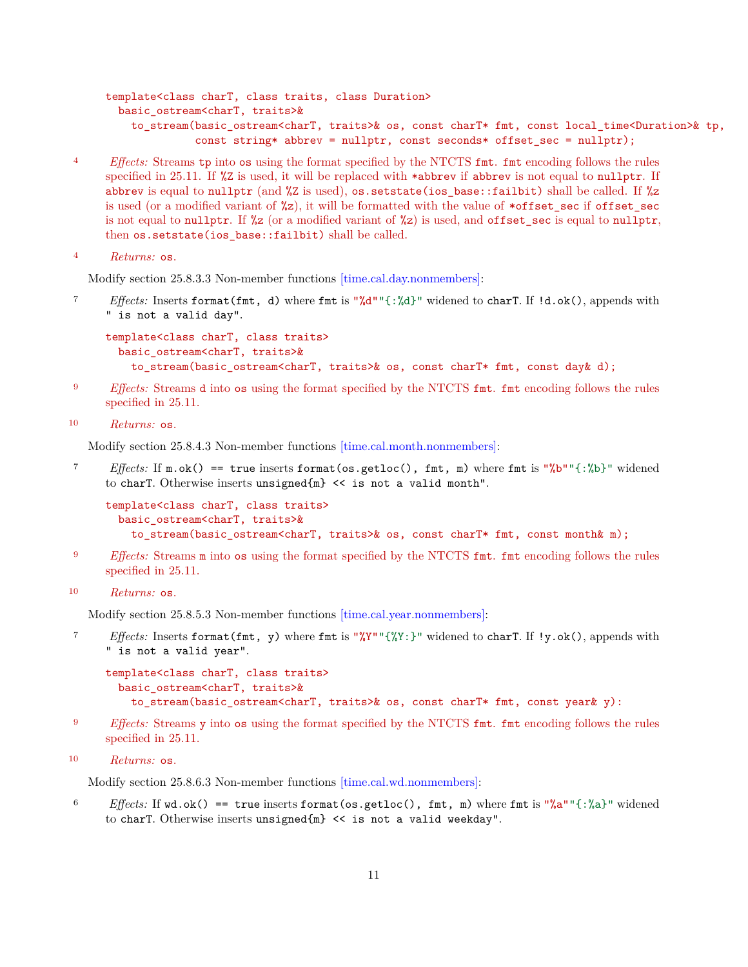```
template<class charT, class traits, class Duration>
 basic_ostream<charT, traits>&
   to stream(basic ostream<charT, traits>& os, const charT* fmt, const local time<Duration>& tp,
              const string* abbrev = nullptr, const seconds* offset_sec = nullptr);
```
<sup>4</sup> *Effects:* Streams tp into os using the format specified by the NTCTS fmt. fmt encoding follows the rules specified in 25.11. If  $\chi$ z is used, it will be replaced with \*abbrev if abbrev is not equal to nullptr. If abbrev is equal to nullptr (and %Z is used), os.setstate(ios\_base::failbit) shall be called. If %z is used (or a modified variant of  $\frac{1}{2}$ ), it will be formatted with the value of \*offset sec if offset sec is not equal to nullptr. If  $\frac{2}{2}$  (or a modified variant of  $\frac{2}{2}$ ) is used, and offset\_sec is equal to nullptr, then os.setstate(ios\_base::failbit) shall be called.

```
4 Returns: os.
```
Modify section 25.8.3.3 Non-member functions  $|\text{time-cal/day}|\text{.}$ 

<sup>7</sup> *Effects:* Inserts format(fmt, d) where fmt is "%d""{:%d}" widened to charT. If !d.ok(), appends with " is not a valid day".

```
template<class charT, class traits>
  basic_ostream<charT, traits>&
    to_stream(basic_ostream<charT, traits>& os, const charT* fmt, const day& d);
```
- <sup>9</sup> *Effects:* Streams d into os using the format specified by the NTCTS fmt. fmt encoding follows the rules specified in 25.11.
- <sup>10</sup> *Returns:* os.

Modify section 25.8.4.3 Non-member functions [\[time.cal.month.nonmembers\]:](http://www.open-std.org/jtc1/sc22/wg21/docs/papers/2018/n4778.pdf#subsubsection.25.8.4.3)

<sup>7</sup> *Effects:* If m.ok() == true inserts format(os.getloc(), fmt, m) where fmt is "%b""{:%b}" widened to charT. Otherwise inserts unsigned{m} << is not a valid month".

```
template<class charT, class traits>
 basic_ostream<charT, traits>&
   to_stream(basic_ostream<charT, traits>& os, const charT* fmt, const month& m);
```
- <sup>9</sup> *Effects:* Streams m into os using the format specified by the NTCTS fmt. fmt encoding follows the rules specified in 25.11.
- <sup>10</sup> *Returns:* os.

Modify section 25.8.5.3 Non-member functions [\[time.cal.year.nonmembers\]:](http://www.open-std.org/jtc1/sc22/wg21/docs/papers/2018/n4778.pdf#subsubsection.25.8.5.3)

<sup>7</sup> *Effects:* Inserts format(fmt, y) where fmt is "%Y""{%Y:}" widened to charT. If !y.ok(), appends with " is not a valid year".

```
template<class charT, class traits>
  basic_ostream<charT, traits>&
    to stream(basic ostream<charT, traits>& os, const charT* fmt, const year& y):
```
<sup>9</sup> *Effects:* Streams y into os using the format specified by the NTCTS fmt. fmt encoding follows the rules specified in 25.11.

```
10 Returns: os.
```
Modify section 25.8.6.3 Non-member functions [\[time.cal.wd.nonmembers\]:](http://www.open-std.org/jtc1/sc22/wg21/docs/papers/2018/n4778.pdf#subsubsection.25.8.6.3)

<sup>6</sup> *Effects:* If wd.ok() == true inserts format(os.getloc(), fmt, m) where fmt is "%a""{:%a}" widened to charT. Otherwise inserts unsigned{m} << is not a valid weekday".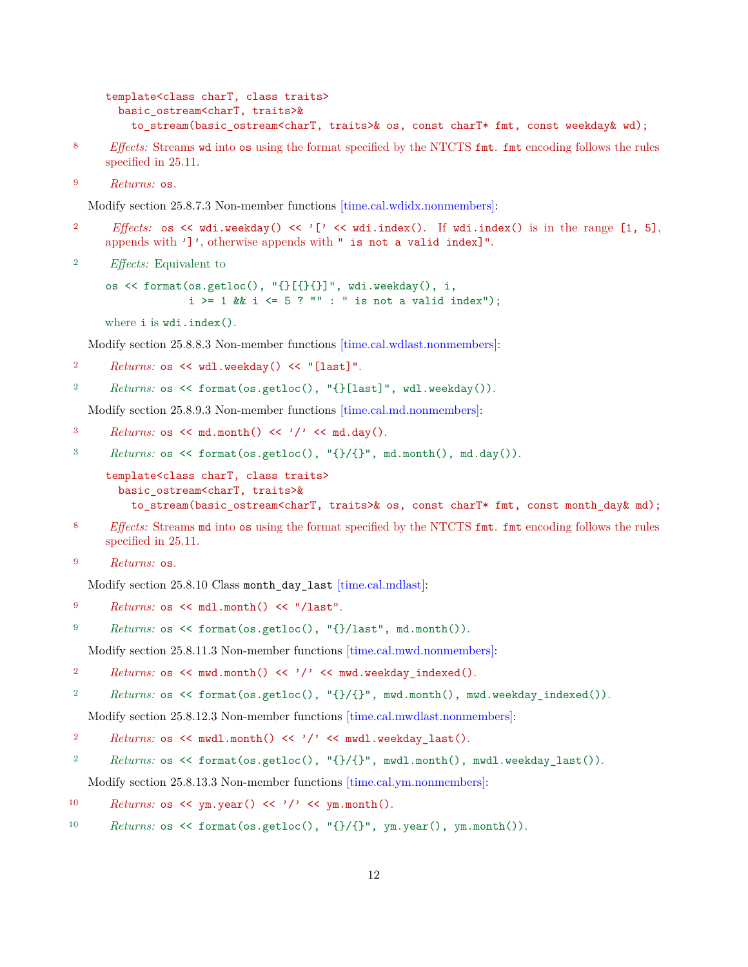```
template<class charT, class traits>
  basic_ostream<charT, traits>&
    to_stream(basic_ostream<charT, traits>& os, const charT* fmt, const weekday& wd);
```
- <sup>8</sup> *Effects:* Streams wd into os using the format specified by the NTCTS fmt. fmt encoding follows the rules specified in 25.11.
- <sup>9</sup> *Returns:* os.

Modify section 25.8.7.3 Non-member functions [\[time.cal.wdidx.nonmembers\]:](http://www.open-std.org/jtc1/sc22/wg21/docs/papers/2018/n4778.pdf#subsubsection.25.8.7.3)

- 2 *Effects:* os << wdi.weekday() << '[' << wdi.index(). If wdi.index() is in the range [1, 5], appends with ']', otherwise appends with " is not a valid index]".
- <sup>2</sup> *Effects:* Equivalent to

os << format(os.getloc(), "{}[{}{}]", wdi.weekday(), i,  $i > = 1$  &&  $i < = 5$  ? "" : " is not a valid index");

where i is wdi.index().

Modify section 25.8.8.3 Non-member functions [\[time.cal.wdlast.nonmembers\]:](http://www.open-std.org/jtc1/sc22/wg21/docs/papers/2018/n4778.pdf#subsubsection.25.8.8.3)

```
2 Returns: os << wdl.weekday() << "[last]".
```

```
2 Returns: os << format(os.getloc(), "{}[last]", wdl.weekday()).
```
Modify section 25.8.9.3 Non-member functions [\[time.cal.md.nonmembers\]:](http://www.open-std.org/jtc1/sc22/wg21/docs/papers/2018/n4778.pdf#subsubsection.25.8.9.3)

```
3 Returns: os \lt md.month() \lt '/' \lt md.day().
```
<sup>3</sup> *Returns:* os << format(os.getloc(), "{}/{}", md.month(), md.day()).

```
template<class charT, class traits>
  basic_ostream<charT, traits>&
   to_stream(basic_ostream<charT, traits>& os, const charT* fmt, const month_day& md);
```
- <sup>8</sup> *Effects:* Streams md into os using the format specified by the NTCTS fmt. fmt encoding follows the rules specified in 25.11.
- <sup>9</sup> *Returns:* os.

Modify section 25.8.10 Class month\_day\_last [\[time.cal.mdlast\]:](http://www.open-std.org/jtc1/sc22/wg21/docs/papers/2018/n4778.pdf#subsection.25.8.10)

<sup>9</sup> *Returns:* os << mdl.month() << "/last".

<sup>9</sup> *Returns:* os << format(os.getloc(), "{}/last", md.month()).

Modify section 25.8.11.3 Non-member functions [\[time.cal.mwd.nonmembers\]:](http://www.open-std.org/jtc1/sc22/wg21/docs/papers/2018/n4778.pdf#subsubsection.25.8.11.3)

```
2 Returns: os \leq mwd.month() \leq '/' \leq mwd.weekday indexed().
```

```
2 Returns: os << format(os.getloc(), "{}/{}", mwd.month(), mwd.weekday_indexed()).
```
Modify section 25.8.12.3 Non-member functions [\[time.cal.mwdlast.nonmembers\]:](http://www.open-std.org/jtc1/sc22/wg21/docs/papers/2018/n4778.pdf#subsubsection.25.8.12.3)

- 2 *Returns:* os << mwdl.month() << '/' << mwdl.weekday\_last().
- <sup>2</sup> *Returns:* os << format(os.getloc(), "{}/{}", mwdl.month(), mwdl.weekday\_last()).

Modify section 25.8.13.3 Non-member functions [\[time.cal.ym.nonmembers\]:](http://www.open-std.org/jtc1/sc22/wg21/docs/papers/2018/n4778.pdf#subsubsection.25.8.13.3)

- 10  $Returns: os \leq \gamma m.year() \leq \gamma' \leq \gamma m.month().$
- 10 *Returns:* os << format(os.getloc(), "{}/{}", ym.year(), ym.month()).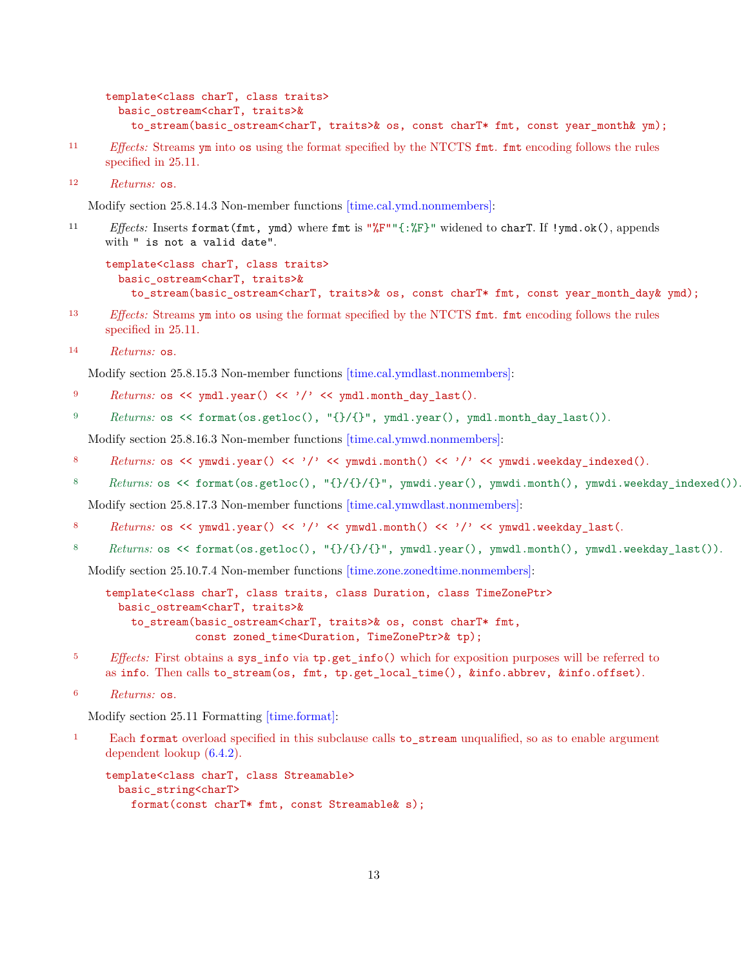```
template<class charT, class traits>
  basic_ostream<charT, traits>&
    to_stream(basic_ostream<charT, traits>& os, const charT* fmt, const year_month& ym);
```
- <sup>11</sup> *Effects:* Streams ym into os using the format specified by the NTCTS fmt. fmt encoding follows the rules specified in 25.11.
- <sup>12</sup> *Returns:* os.

Modify section 25.8.14.3 Non-member functions [\[time.cal.ymd.nonmembers\]:](http://www.open-std.org/jtc1/sc22/wg21/docs/papers/2018/n4778.pdf#subsubsection.25.8.14.3)

<sup>11</sup> *Effects:* Inserts format(fmt, ymd) where fmt is "%F""{:%F}" widened to charT. If !ymd.ok(), appends with " is not a valid date".

```
template<class charT, class traits>
  basic_ostream<charT, traits>&
    to_stream(basic_ostream<charT, traits>& os, const charT* fmt, const year_month_day& ymd);
```
- <sup>13</sup> *Effects:* Streams ym into os using the format specified by the NTCTS fmt. fmt encoding follows the rules specified in 25.11.
- <sup>14</sup> *Returns:* os.

Modify section 25.8.15.3 Non-member functions [\[time.cal.ymdlast.nonmembers\]:](http://www.open-std.org/jtc1/sc22/wg21/docs/papers/2018/n4778.pdf#subsubsection.25.8.15.3)

- 9 *Returns:* os << ymdl.year() << '/' << ymdl.month\_day\_last().
- 9 *Returns:* os << format(os.getloc(), "{}/{}", ymdl.year(), ymdl.month\_day\_last()).

Modify section 25.8.16.3 Non-member functions [\[time.cal.ymwd.nonmembers\]:](http://www.open-std.org/jtc1/sc22/wg21/docs/papers/2018/n4778.pdf#subsubsection.25.8.16.3)

- 8 Returns: os << ymwdi.year() << '/' << ymwdi.month() << '/' << ymwdi.weekday\_indexed().
- 8 Returns: os << format(os.getloc(), "{}/{}/{}", ymwdi.year(), ymwdi.month(), ymwdi.weekday\_indexed()).

Modify section 25.8.17.3 Non-member functions [\[time.cal.ymwdlast.nonmembers\]:](http://www.open-std.org/jtc1/sc22/wg21/docs/papers/2018/n4778.pdf#subsubsection.25.8.17.3)

- 8 Returns: os << ymwdl.year() << '/' << ymwdl.month() << '/' << ymwdl.weekday\_last(.
- 8 Returns: os << format(os.getloc(), "{}/{}/{}", ymwdl.year(), ymwdl.month(), ymwdl.weekday\_last()).

Modify section 25.10.7.4 Non-member functions [\[time.zone.zonedtime.nonmembers\]:](http://www.open-std.org/jtc1/sc22/wg21/docs/papers/2018/n4778.pdf#subsubsection.25.10.7.4)

template<class charT, class traits, class Duration, class TimeZonePtr> basic\_ostream<charT, traits>& to\_stream(basic\_ostream<charT, traits>& os, const charT\* fmt, const zoned\_time<Duration, TimeZonePtr>& tp);

- <sup>5</sup> *Effects:* First obtains a sys\_info via tp.get\_info() which for exposition purposes will be referred to as info. Then calls to stream(os, fmt, tp.get local time(), &info.abbrev, &info.offset).
- <sup>6</sup> *Returns:* os.

Modify section 25.11 Formatting [\[time.format\]:](http://www.open-std.org/jtc1/sc22/wg21/docs/papers/2018/n4778.pdf#section.25.11)

<sup>1</sup> Each format overload specified in this subclause calls to\_stream unqualified, so as to enable argument dependent lookup [\(6.4.2\)](http://www.open-std.org/jtc1/sc22/wg21/docs/papers/2018/n4778.pdf#subsection.6.4.2).

```
template<class charT, class Streamable>
  basic_string<charT>
   format(const charT* fmt, const Streamable& s);
```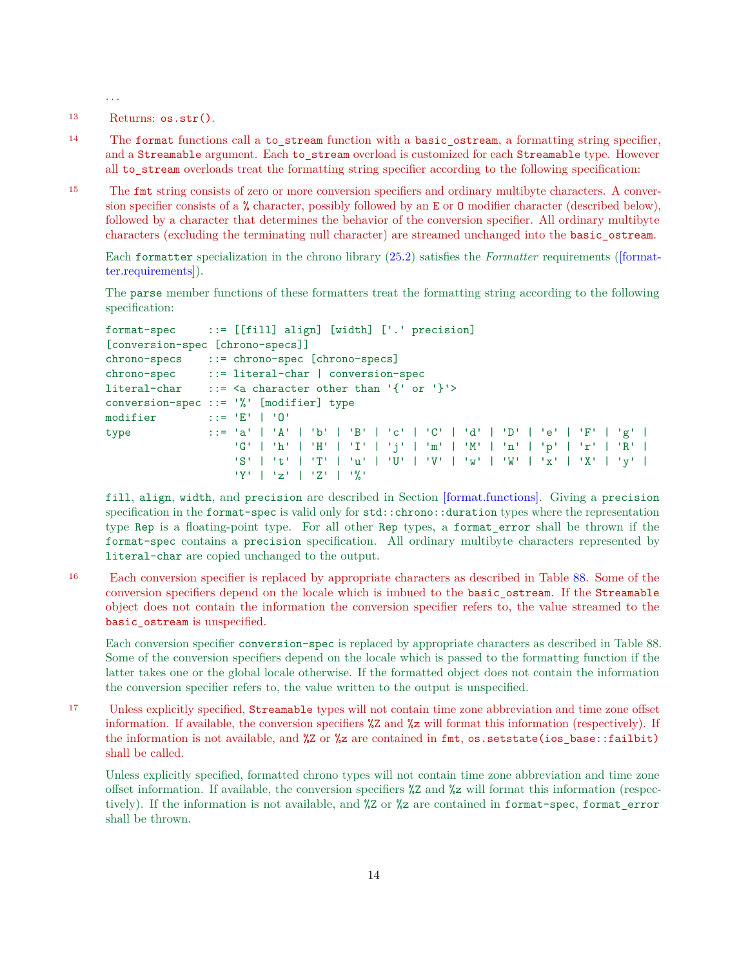. . .

<sup>13</sup> Returns: os.str().

<sup>14</sup> The format functions call a to\_stream function with a basic\_ostream, a formatting string specifier, and a Streamable argument. Each to stream overload is customized for each Streamable type. However all to stream overloads treat the formatting string specifier according to the following specification:

<sup>15</sup> The fmt string consists of zero or more conversion specifiers and ordinary multibyte characters. A conversion specifier consists of a % character, possibly followed by an E or O modifier character (described below), followed by a character that determines the behavior of the conversion specifier. All ordinary multibyte characters (excluding the terminating null character) are streamed unchanged into the basic\_ostream.

Each formatter specialization in the chrono library [\(25.2\)](http://www.open-std.org/jtc1/sc22/wg21/docs/papers/2018/n4778.pdf#section.25.2) satisfies the *Formatter* requirements [\(\[format](http://fmtlib.net/P0645R4.html#gensection-6)[ter.requirements\]\)](http://fmtlib.net/P0645R4.html#gensection-6).

The parse member functions of these formatters treat the formatting string according to the following specification:

```
format-spec ::= [[fill] align] [width] ['.' precision]
[conversion-spec [chrono-specs]]
chrono-specs ::= chrono-spec [chrono-specs]
chrono-spec ::= literal-char | conversion-spec
literal-char ::= <a character other than '{' or '}'>
conversion-spec ::= '%' [modifier] type
modifier ::= 'E' | 'O'
type ::= 'a' | 'A' | 'b' | 'B' | 'c' | 'C' | 'd' | 'D' | 'e' | 'F' | 'g' |
                   'G' | 'h' | 'H' | 'I' | 'j' | 'm' | 'M' | 'n' | 'p' | 'r' | 'R' |
                   'S' | 't' | 'T' | 'u' | 'U' | 'V' | 'w' | 'W' | 'x' | 'X' | 'y' |
                   'Y' | 'z' | 'Z' | '%'
```
fill, align, width, and precision are described in Section [\[format.functions\].](http://fmtlib.net/P0645R4.html#format-functions) Giving a precision specification in the format-spec is valid only for std::chrono::duration types where the representation type Rep is a floating-point type. For all other Rep types, a format\_error shall be thrown if the format-spec contains a precision specification. All ordinary multibyte characters represented by literal-char are copied unchanged to the output.

<sup>16</sup> Each conversion specifier is replaced by appropriate characters as described in Table [88.](http://www.open-std.org/jtc1/sc22/wg21/docs/papers/2018/n4778.pdf#table.25.88) Some of the conversion specifiers depend on the locale which is imbued to the basic\_ostream. If the Streamable object does not contain the information the conversion specifier refers to, the value streamed to the basic ostream is unspecified.

Each conversion specifier conversion-spec is replaced by appropriate characters as described in Table 88. Some of the conversion specifiers depend on the locale which is passed to the formatting function if the latter takes one or the global locale otherwise. If the formatted object does not contain the information the conversion specifier refers to, the value written to the output is unspecified.

<sup>17</sup> Unless explicitly specified, Streamable types will not contain time zone abbreviation and time zone offset information. If available, the conversion specifiers %Z and %z will format this information (respectively). If the information is not available, and %Z or %z are contained in fmt, os.setstate(ios\_base::failbit) shall be called.

Unless explicitly specified, formatted chrono types will not contain time zone abbreviation and time zone offset information. If available, the conversion specifiers %Z and %z will format this information (respectively). If the information is not available, and %Z or %z are contained in format-spec, format\_error shall be thrown.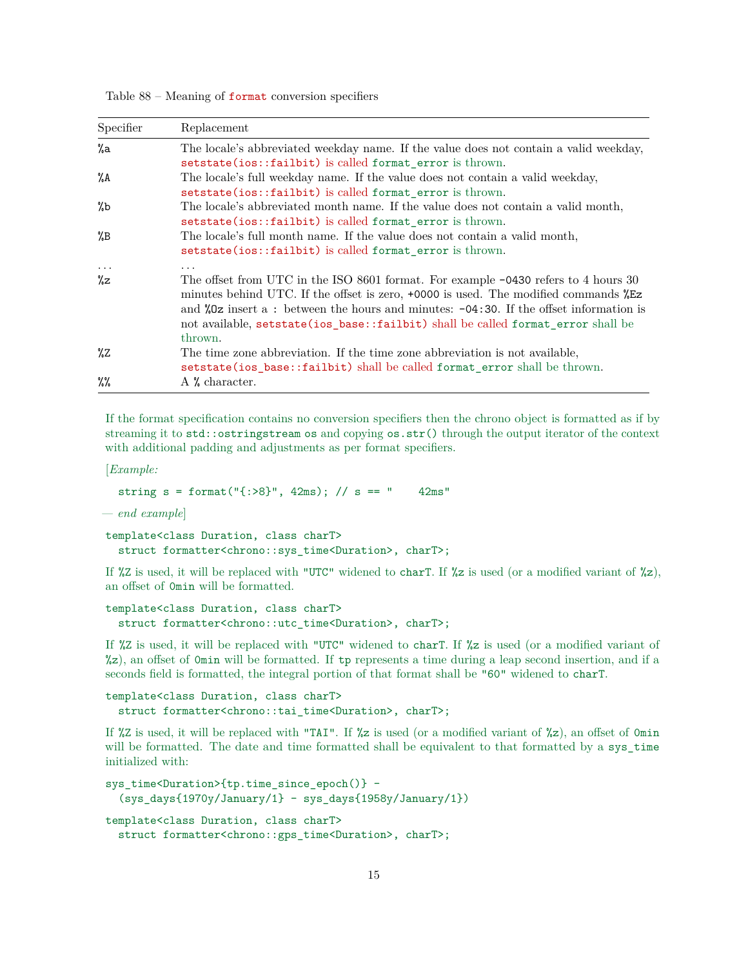Table  $88$  – Meaning of format conversion specifiers

| Specifier                      | Replacement                                                                                                                                                                                                                                                                                                                                                                                   |
|--------------------------------|-----------------------------------------------------------------------------------------------------------------------------------------------------------------------------------------------------------------------------------------------------------------------------------------------------------------------------------------------------------------------------------------------|
| %a                             | The locale's abbreviated weekday name. If the value does not contain a valid weekday,<br>setstate(ios::failbit) is called format_error is thrown.                                                                                                                                                                                                                                             |
| %A                             | The locale's full weekday name. If the value does not contain a valid weekday,<br>setstate(ios::failbit) is called format_error is thrown.                                                                                                                                                                                                                                                    |
| %b                             | The locale's abbreviated month name. If the value does not contain a valid month,<br>setstate(ios::failbit) is called format_error is thrown.                                                                                                                                                                                                                                                 |
| $^{\prime\prime}$ <sub>B</sub> | The locale's full month name. If the value does not contain a valid month,<br>setstate(ios::failbit) is called format error is thrown.                                                                                                                                                                                                                                                        |
| $\cdots$<br>%z                 | $\cdots$<br>The offset from UTC in the ISO 8601 format. For example $-0430$ refers to 4 hours 30<br>minutes behind UTC. If the offset is zero, +0000 is used. The modified commands $ZEz$<br>and $\sqrt[6]{2}$ insert a: between the hours and minutes: -04:30. If the offset information is<br>not available, set state (ios_base::failbit) shall be called format_error shall be<br>thrown. |
| %Ζ                             | The time zone abbreviation. If the time zone abbreviation is not available,<br>setstate(ios_base::failbit) shall be called format_error shall be thrown.                                                                                                                                                                                                                                      |
| $\%$                           | $\Lambda$ % character.                                                                                                                                                                                                                                                                                                                                                                        |

If the format specification contains no conversion specifiers then the chrono object is formatted as if by streaming it to std::ostringstream os and copying os.str() through the output iterator of the context with additional padding and adjustments as per format specifiers.

[*Example:*

```
string s = format("[:>8", 42ms); // s == " 42ms"
```
*— end example*]

template<class Duration, class charT> struct formatter<chrono::sys\_time<Duration>, charT>;

If  $\chi z$  is used, it will be replaced with "UTC" widened to charT. If  $\chi z$  is used (or a modified variant of  $\chi z$ ), an offset of 0min will be formatted.

```
template<class Duration, class charT>
  struct formatter<chrono::utc_time<Duration>, charT>;
```
If %Z is used, it will be replaced with "UTC" widened to charT. If %z is used (or a modified variant of %z), an offset of 0min will be formatted. If tp represents a time during a leap second insertion, and if a seconds field is formatted, the integral portion of that format shall be "60" widened to charT.

```
template<class Duration, class charT>
  struct formatter<chrono::tai_time<Duration>, charT>;
```
If %Z is used, it will be replaced with "TAI". If %z is used (or a modified variant of %z), an offset of 0min will be formatted. The date and time formatted shall be equivalent to that formatted by a sys time initialized with:

```
sys_time<Duration>{tp.time_since_epoch()} -
  (sys_days{1970y/January/1} - sys_days{1958y/January/1})
template<class Duration, class charT>
  struct formatter<chrono::gps_time<Duration>, charT>;
```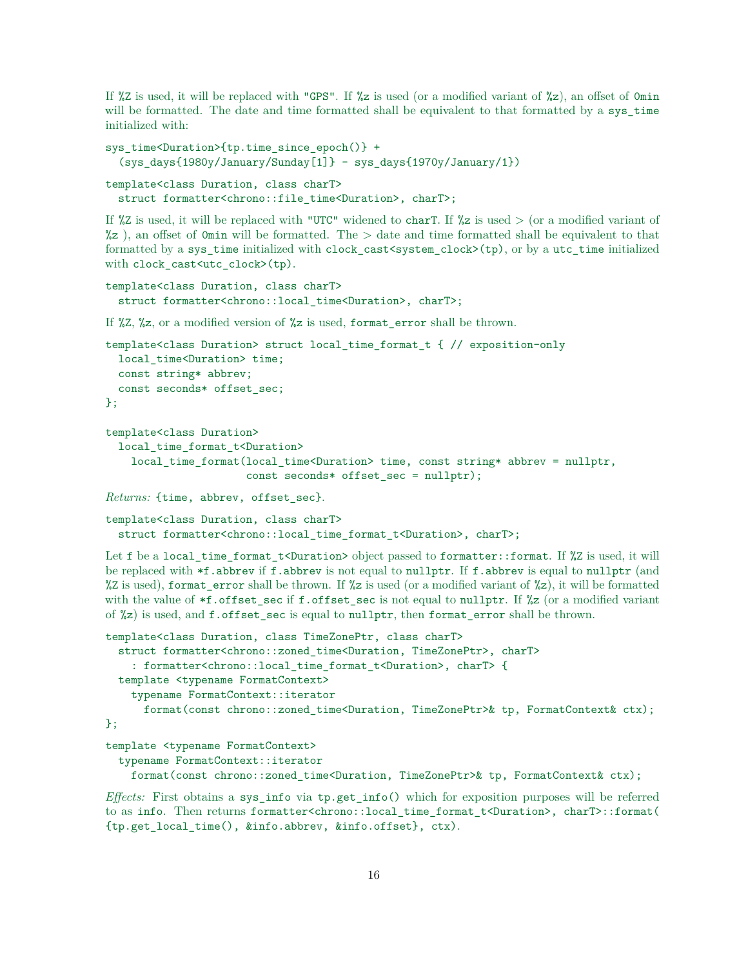If %Z is used, it will be replaced with "GPS". If %z is used (or a modified variant of %z), an offset of 0min will be formatted. The date and time formatted shall be equivalent to that formatted by a sys\_time initialized with:

```
sys_time<Duration>{tp.time_since_epoch()} +
  (sys_days{1980y/January/Sunday[1]} - sys_days{1970y/January/1})
template<class Duration, class charT>
```

```
struct formatter<chrono::file_time<Duration>, charT>;
```
If %Z is used, it will be replaced with "UTC" widened to charT. If %z is used  $>$  (or a modified variant of  $\%z$ ), an offset of 0min will be formatted. The  $>$  date and time formatted shall be equivalent to that formatted by a sys\_time initialized with clock\_cast<system\_clock>(tp), or by a utc\_time initialized with clock\_cast<utc\_clock>(tp).

```
template<class Duration, class charT>
  struct formatter<chrono::local_time<Duration>, charT>;
```
If %Z, %z, or a modified version of %z is used, format\_error shall be thrown.

```
template<class Duration> struct local_time_format_t { // exposition-only
  local_time<Duration> time;
  const string* abbrev;
  const seconds* offset_sec;
};
```

```
template<class Duration>
```

```
local time format t<Duration>
 local_time_format(local_time<Duration> time, const string* abbrev = nullptr,
                    const seconds* offset_sec = nullptr);
```
*Returns:* {time, abbrev, offset\_sec}.

template<class Duration, class charT> struct formatter<chrono::local\_time\_format\_t<Duration>, charT>;

Let f be a local\_time\_format\_t<Duration> object passed to formatter::format. If %Z is used, it will be replaced with \*f.abbrev if f.abbrev is not equal to nullptr. If f.abbrev is equal to nullptr (and %Z is used), format\_error shall be thrown. If %z is used (or a modified variant of %z), it will be formatted with the value of  $*f$ .offset sec if f.offset sec is not equal to nullptr. If  $\frac{1}{2}z$  (or a modified variant of %z) is used, and f.offset\_sec is equal to nullptr, then format\_error shall be thrown.

```
template<class Duration, class TimeZonePtr, class charT>
  struct formatter<chrono::zoned_time<Duration, TimeZonePtr>, charT>
    : formatter<chrono::local_time_format_t<Duration>, charT> {
  template <typename FormatContext>
    typename FormatContext::iterator
      format(const chrono::zoned_time<Duration, TimeZonePtr>& tp, FormatContext& ctx);
};
template <typename FormatContext>
```
typename FormatContext::iterator

format(const chrono::zoned\_time<Duration, TimeZonePtr>& tp, FormatContext& ctx);

*Effects:* First obtains a sys\_info via tp.get\_info() which for exposition purposes will be referred to as info. Then returns formatter<chrono::local\_time\_format\_t<Duration>, charT>::format( {tp.get\_local\_time(), &info.abbrev, &info.offset}, ctx).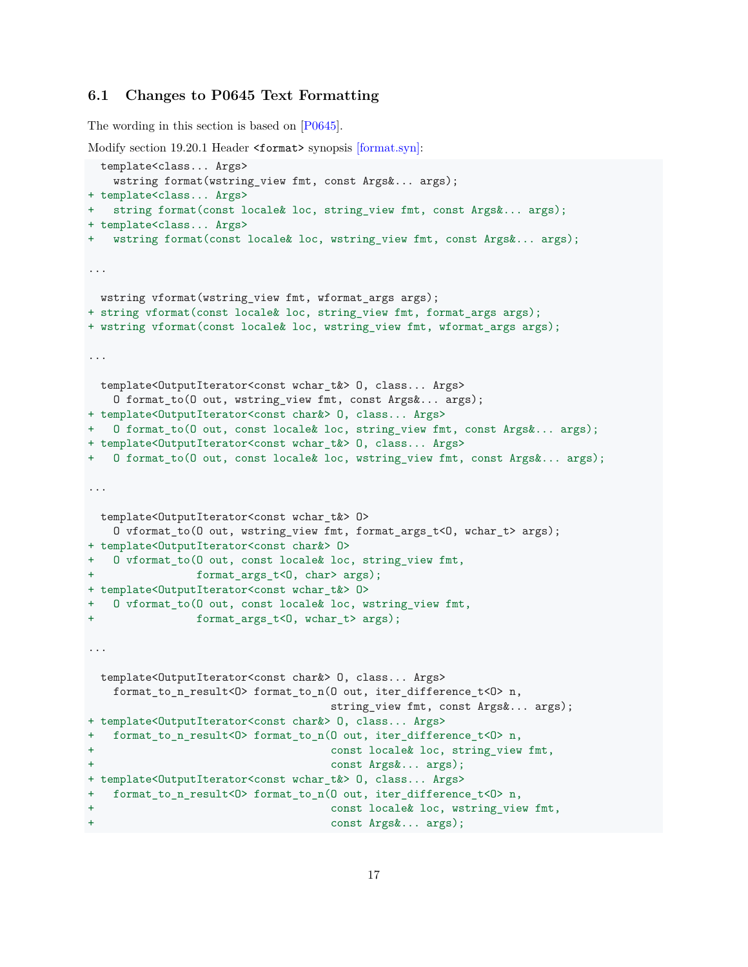### **6.1 Changes to P0645 Text Formatting**

The wording in this section is based on [\[P0645\]](#page-18-1).

```
[format.syn]:
 template<class... Args>
   wstring format(wstring_view fmt, const Args&... args);
+ template<class... Args>
+ string format(const locale& loc, string_view fmt, const Args&... args);
+ template<class... Args>
+ wstring format(const locale& loc, wstring_view fmt, const Args&... args);
...
 wstring vformat(wstring_view fmt, wformat_args args);
+ string vformat(const locale& loc, string view fmt, format args args);
+ wstring vformat(const locale& loc, wstring_view fmt, wformat_args args);
...
 template<OutputIterator<const wchar_t&> O, class... Args>
   O format_to(O out, wstring_view fmt, const Args&... args);
+ template<OutputIterator<const char&> O, class... Args>
+ O format_to(O out, const locale& loc, string_view fmt, const Args&... args);
+ template<OutputIterator<const wchar_t&> O, class... Args>
+ O format_to(O out, const locale& loc, wstring_view fmt, const Args&... args);
...
 template<OutputIterator<const wchar_t&> O>
   O vformat_to(O out, wstring_view fmt, format_args_t<O, wchar_t> args);
+ template<OutputIterator<const char&> O>
+ 0 vformat to(0 out, const locale& loc, string view fmt,
+ format_args_t<O, char> args);
+ template<OutputIterator<const wchar_t&> O>
+ O vformat_to(O out, const locale& loc, wstring_view fmt,
+ format_args_t<0, wchar_t> args);
...
 template<OutputIterator<const char&> O, class... Args>
   format_to_n_result<O> format_to_n(O out, iter_difference_t<O> n,
                                  string_view fmt, const Args&... args);
+ template<OutputIterator<const char&> O, class... Args>
+ format_to_n_result<O> format_to_n(O out, iter_difference_t<O> n,
+ const locale& loc, string_view fmt,
                                  const Args &... args);
+ template<OutputIterator<const wchar_t&> O, class... Args>
+ format_to_n_result<O> format_to_n(O out, iter_difference_t<O> n,
+ const locale& loc, wstring_view fmt,
+ const Args&... args);
```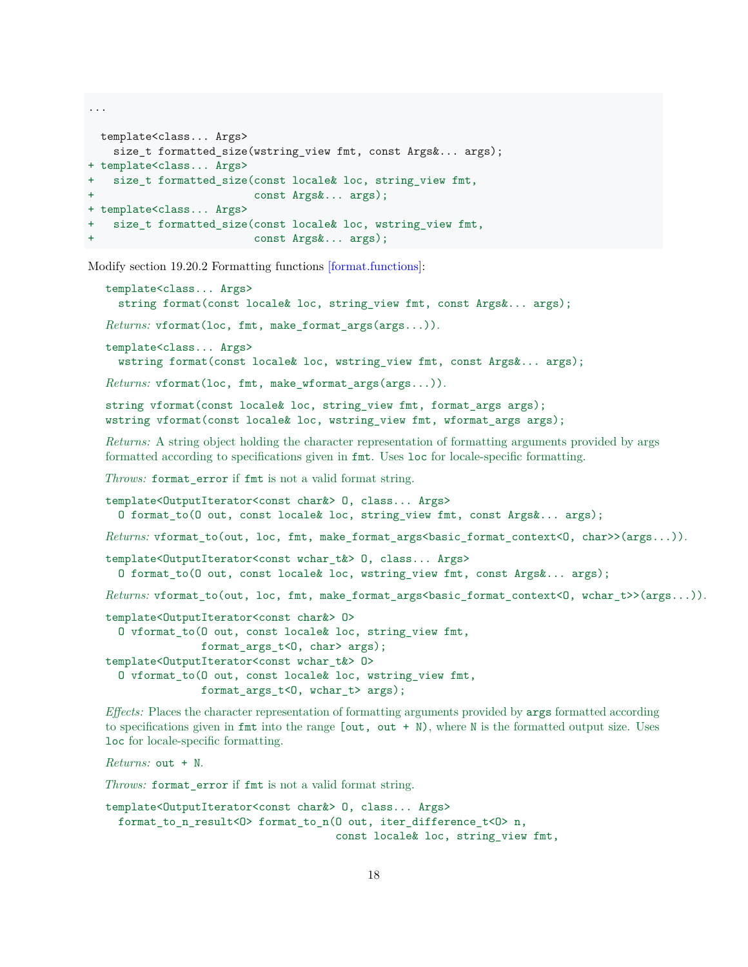```
...
 template<class... Args>
   size t formatted size(wstring view fmt, const Args&... args);
+ template<class... Args>
+ size_t formatted_size(const locale& loc, string_view fmt,
+ const Args&... args);
+ template<class... Args>
+ size_t formatted_size(const locale& loc, wstring_view fmt,
+ const Args&... args);
```
Modify section 19.20.2 Formatting functions [\[format.functions\]:](http://fmtlib.net/P0645R4.html#format.functions)

```
template<class... Args>
  string format(const locale& loc, string_view fmt, const Args&... args);
Returns: vformat(loc, fmt, make_format_args(args...)).
template<class... Args>
  wstring format(const locale& loc, wstring_view fmt, const Args&... args);
Returns: vformat(loc, fmt, make_wformat_args(args...)).
string vformat(const locale& loc, string view fmt, format args args);
wstring vformat(const locale& loc, wstring_view fmt, wformat_args args);
Returns: A string object holding the character representation of formatting arguments provided by args
formatted according to specifications given in fmt. Uses loc for locale-specific formatting.
Throws: format_error if fmt is not a valid format string.
template<OutputIterator<const char&> O, class... Args>
  O format_to(O out, const locale& loc, string_view fmt, const Args&... args);
Returns: vformat_to(out, loc, fmt, make_format_args<basic_format_context<O, char>>(args...)).
template<OutputIterator<const wchar t&> O, class... Args>
  O format to(O out, const locale& loc, wstring view fmt, const Args&... args);
Returns: vformat_to(out, loc, fmt, make_format_args<basic_format_context<O, wchar_t>>(args...)).
template<OutputIterator<const char&> O>
  O vformat_to(O out, const locale& loc, string_view fmt,
               format_args_t<O, char> args);
template<OutputIterator<const wchar t&> O>
  O vformat_to(O out, const locale& loc, wstring_view fmt,
               format_args_t<O, wchar_t> args);
```
*Effects:* Places the character representation of formatting arguments provided by args formatted according to specifications given in fmt into the range  $[out, out + N)$ , where N is the formatted output size. Uses loc for locale-specific formatting.

*Returns:* out + N.

*Throws:* format\_error if fmt is not a valid format string.

template<OutputIterator<const char&> O, class... Args> format\_to\_n\_result<O> format\_to\_n(O out, iter\_difference\_t<O> n, const locale& loc, string\_view fmt,